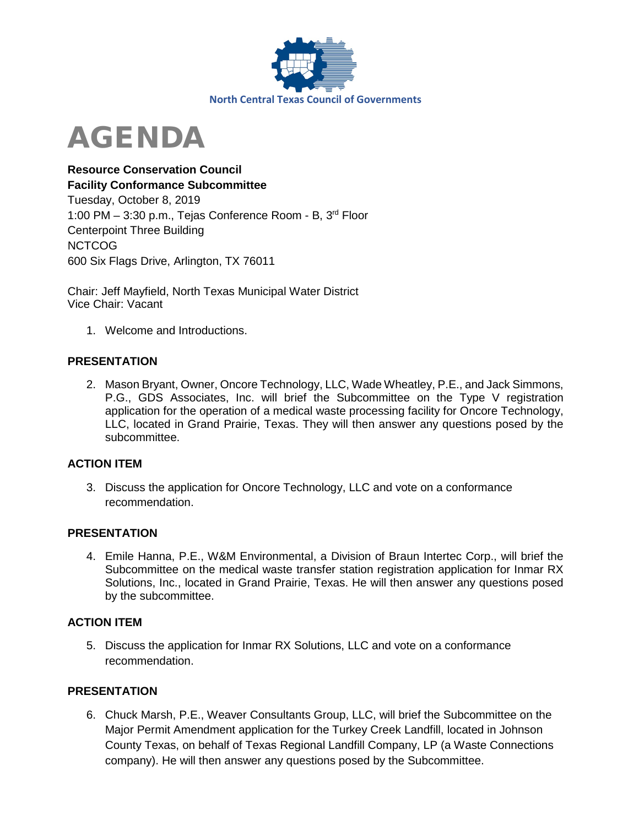

# AGENDA

# **Resource Conservation Council Facility Conformance Subcommittee**  Tuesday, October 8, 2019 1:00 PM – 3:30 p.m., Tejas Conference Room - B, 3rd Floor Centerpoint Three Building NCTCOG 600 Six Flags Drive, Arlington, TX 76011

Chair: Jeff Mayfield, North Texas Municipal Water District Vice Chair: Vacant

1. Welcome and Introductions.

## **PRESENTATION**

2. Mason Bryant, Owner, Oncore Technology, LLC, Wade Wheatley, P.E., and Jack Simmons, P.G., GDS Associates, Inc. will brief the Subcommittee on the Type V registration application for the operation of a medical waste processing facility for Oncore Technology, LLC, located in Grand Prairie, Texas. They will then answer any questions posed by the subcommittee.

## **ACTION ITEM**

3. Discuss the application for Oncore Technology, LLC and vote on a conformance recommendation.

## **PRESENTATION**

4. Emile Hanna, P.E., W&M Environmental, a Division of Braun Intertec Corp., will brief the Subcommittee on the medical waste transfer station registration application for Inmar RX Solutions, Inc., located in Grand Prairie, Texas. He will then answer any questions posed by the subcommittee.

#### **ACTION ITEM**

5. Discuss the application for Inmar RX Solutions, LLC and vote on a conformance recommendation.

#### **PRESENTATION**

6. Chuck Marsh, P.E., Weaver Consultants Group, LLC, will brief the Subcommittee on the Major Permit Amendment application for the Turkey Creek Landfill, located in Johnson County Texas, on behalf of Texas Regional Landfill Company, LP (a Waste Connections company). He will then answer any questions posed by the Subcommittee.